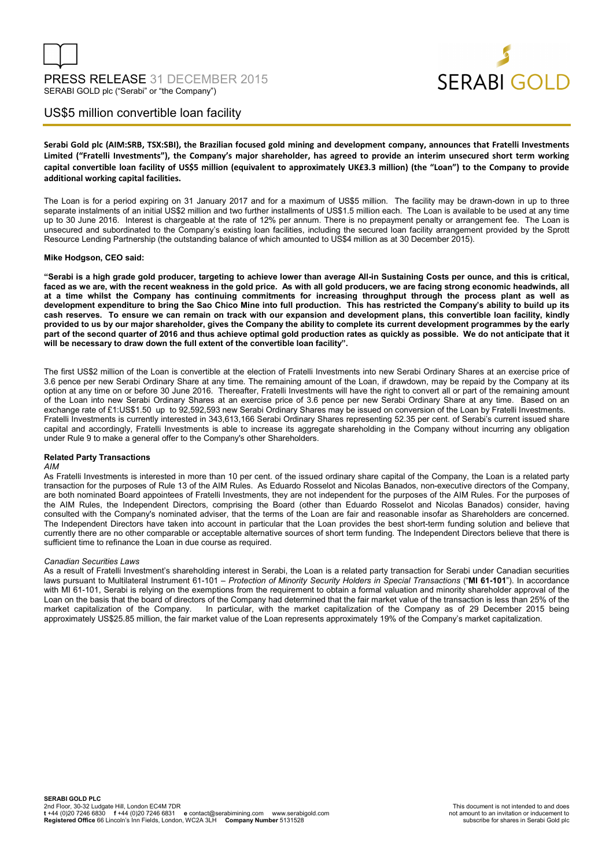

# US\$5 million convertible loan facility

**Serabi Gold plc (AIM:SRB, TSX:SBI), the Brazilian focused gold mining and development company, announces that Fratelli Investments Limited ("Fratelli Investments"), the Company's major shareholder, has agreed to provide an interim unsecured short term working capital convertible loan facility of US\$5 million (equivalent to approximately UK£3.3 million) (the "Loan") to the Company to provide additional working capital facilities.** 

The Loan is for a period expiring on 31 January 2017 and for a maximum of US\$5 million. The facility may be drawn-down in up to three separate instalments of an initial US\$2 million and two further installments of US\$1.5 million each. The Loan is available to be used at any time up to 30 June 2016. Interest is chargeable at the rate of 12% per annum. There is no prepayment penalty or arrangement fee. The Loan is unsecured and subordinated to the Company's existing loan facilities, including the secured loan facility arrangement provided by the Sprott Resource Lending Partnership (the outstanding balance of which amounted to US\$4 million as at 30 December 2015).

### **Mike Hodgson, CEO said:**

**"Serabi is a high grade gold producer, targeting to achieve lower than average All-in Sustaining Costs per ounce, and this is critical, faced as we are, with the recent weakness in the gold price. As with all gold producers, we are facing strong economic headwinds, all at a time whilst the Company has continuing commitments for increasing throughput through the process plant as well as development expenditure to bring the Sao Chico Mine into full production. This has restricted the Company's ability to build up its cash reserves. To ensure we can remain on track with our expansion and development plans, this convertible loan facility, kindly provided to us by our major shareholder, gives the Company the ability to complete its current development programmes by the early part of the second quarter of 2016 and thus achieve optimal gold production rates as quickly as possible. We do not anticipate that it will be necessary to draw down the full extent of the convertible loan facility".** 

The first US\$2 million of the Loan is convertible at the election of Fratelli Investments into new Serabi Ordinary Shares at an exercise price of 3.6 pence per new Serabi Ordinary Share at any time. The remaining amount of the Loan, if drawdown, may be repaid by the Company at its option at any time on or before 30 June 2016. Thereafter, Fratelli Investments will have the right to convert all or part of the remaining amount of the Loan into new Serabi Ordinary Shares at an exercise price of 3.6 pence per new Serabi Ordinary Share at any time. Based on an exchange rate of £1:US\$1.50 up to 92,592,593 new Serabi Ordinary Shares may be issued on conversion of the Loan by Fratelli Investments. Fratelli Investments is currently interested in 343,613,166 Serabi Ordinary Shares representing 52.35 per cent. of Serabi's current issued share capital and accordingly, Fratelli Investments is able to increase its aggregate shareholding in the Company without incurring any obligation under Rule 9 to make a general offer to the Company's other Shareholders.

### **Related Party Transactions**

### *AIM*

As Fratelli Investments is interested in more than 10 per cent. of the issued ordinary share capital of the Company, the Loan is a related party transaction for the purposes of Rule 13 of the AIM Rules. As Eduardo Rosselot and Nicolas Banados, non-executive directors of the Company, are both nominated Board appointees of Fratelli Investments, they are not independent for the purposes of the AIM Rules. For the purposes of the AIM Rules, the Independent Directors, comprising the Board (other than Eduardo Rosselot and Nicolas Banados) consider, having consulted with the Company's nominated adviser, that the terms of the Loan are fair and reasonable insofar as Shareholders are concerned. The Independent Directors have taken into account in particular that the Loan provides the best short-term funding solution and believe that currently there are no other comparable or acceptable alternative sources of short term funding. The Independent Directors believe that there is sufficient time to refinance the Loan in due course as required.

### *Canadian Securities Laws*

As a result of Fratelli Investment's shareholding interest in Serabi, the Loan is a related party transaction for Serabi under Canadian securities laws pursuant to Multilateral Instrument 61-101 – *Protection of Minority Security Holders in Special Transactions* ("**MI 61-101**"). In accordance with MI 61-101, Serabi is relying on the exemptions from the requirement to obtain a formal valuation and minority shareholder approval of the Loan on the basis that the board of directors of the Company had determined that the fair market value of the transaction is less than 25% of the market capitalization of the Company as of 29 December 2015 being In particular, with the market capitalization of the Company as of 29 December 2015 being approximately US\$25.85 million, the fair market value of the Loan represents approximately 19% of the Company's market capitalization.